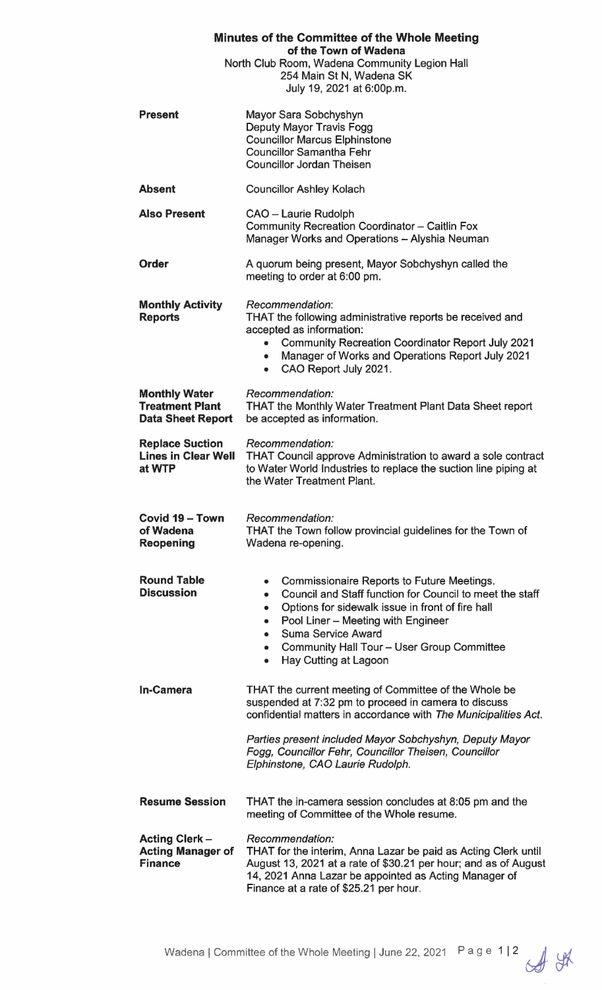| Minutes of the Committee of the Whole Meeting<br>of the Town of Wadena<br>North Club Room, Wadena Community Legion Hall<br>254 Main St N, Wadena SK<br>July 19, 2021 at 6:00p.m. |                                                                                                                                                                                                                                                                                                                                                                                  |
|----------------------------------------------------------------------------------------------------------------------------------------------------------------------------------|----------------------------------------------------------------------------------------------------------------------------------------------------------------------------------------------------------------------------------------------------------------------------------------------------------------------------------------------------------------------------------|
| <b>Present</b>                                                                                                                                                                   | Mayor Sara Sobchyshyn<br>Deputy Mayor Travis Fogg<br><b>Councillor Marcus Elphinstone</b><br><b>Councillor Samantha Fehr</b><br><b>Councillor Jordan Theisen</b>                                                                                                                                                                                                                 |
| <b>Absent</b>                                                                                                                                                                    | <b>Councillor Ashley Kolach</b>                                                                                                                                                                                                                                                                                                                                                  |
| <b>Also Present</b>                                                                                                                                                              | CAO - Laurie Rudolph<br>Community Recreation Coordinator - Caitlin Fox<br>Manager Works and Operations - Alyshia Neuman                                                                                                                                                                                                                                                          |
| <b>Order</b>                                                                                                                                                                     | A quorum being present, Mayor Sobchyshyn called the<br>meeting to order at 6:00 pm.                                                                                                                                                                                                                                                                                              |
| <b>Monthly Activity</b><br><b>Reports</b>                                                                                                                                        | Recommendation:<br>THAT the following administrative reports be received and<br>accepted as information:<br><b>Community Recreation Coordinator Report July 2021</b><br>۰<br>Manager of Works and Operations Report July 2021<br>$\bullet$<br>CAO Report July 2021.<br>$\bullet$                                                                                                 |
| <b>Monthly Water</b><br><b>Treatment Plant</b><br><b>Data Sheet Report</b>                                                                                                       | Recommendation:<br><b>THAT the Monthly Water Treatment Plant Data Sheet report</b><br>be accepted as information.                                                                                                                                                                                                                                                                |
| <b>Replace Suction</b><br><b>Lines in Clear Well</b><br>at WTP                                                                                                                   | Recommendation:<br>THAT Council approve Administration to award a sole contract<br>to Water World Industries to replace the suction line piping at<br>the Water Treatment Plant.                                                                                                                                                                                                 |
| Covid 19 - Town<br>of Wadena<br>Reopening                                                                                                                                        | Recommendation:<br>THAT the Town follow provincial guidelines for the Town of<br>Wadena re-opening.                                                                                                                                                                                                                                                                              |
| <b>Round Table</b><br><b>Discussion</b>                                                                                                                                          | Commissionaire Reports to Future Meetings.<br>٠<br>Council and Staff function for Council to meet the staff<br>$\bullet$<br>Options for sidewalk issue in front of fire hall<br>$\bullet$<br>Pool Liner - Meeting with Engineer<br>$\bullet$<br>Suma Service Award<br>$\bullet$<br>Community Hall Tour - User Group Committee<br>$\bullet$<br>Hay Cutting at Lagoon<br>$\bullet$ |
| <b>In-Camera</b>                                                                                                                                                                 | THAT the current meeting of Committee of the Whole be<br>suspended at 7:32 pm to proceed in camera to discuss<br>confidential matters in accordance with The Municipalities Act.<br>Parties present included Mayor Sobchyshyn, Deputy Mayor                                                                                                                                      |
|                                                                                                                                                                                  | Fogg, Councillor Fehr, Councillor Theisen, Councillor<br>Elphinstone, CAO Laurie Rudolph.                                                                                                                                                                                                                                                                                        |
| <b>Resume Session</b>                                                                                                                                                            | THAT the in-camera session concludes at 8:05 pm and the<br>meeting of Committee of the Whole resume.                                                                                                                                                                                                                                                                             |
| <b>Acting Clerk-</b><br><b>Acting Manager of</b><br><b>Finance</b>                                                                                                               | Recommendation:<br>THAT for the interim, Anna Lazar be paid as Acting Clerk until<br>August 13, 2021 at a rate of \$30.21 per hour; and as of August<br>14, 2021 Anna Lazar be appointed as Acting Manager of<br>Finance at a rate of \$25.21 per hour.                                                                                                                          |

Wadena | Committee of the Whole Meeting | June 22, 2021 Page 1 | 2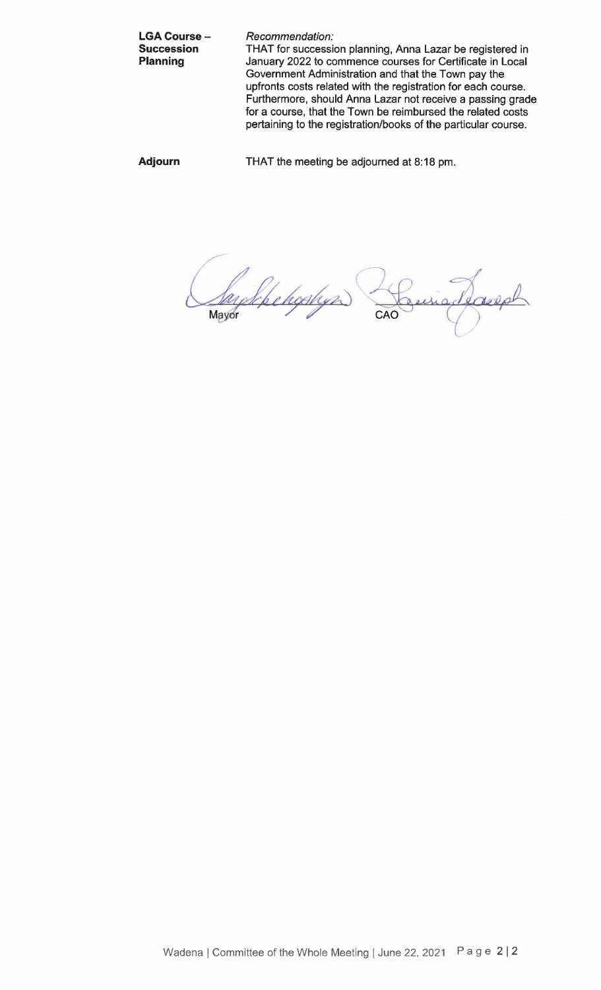LGA Course -**Succession Planning**  Recommendation: THAT for succession planning, Anna Lazar be registered in January 2022 to commence courses for Certificate in Local Government Administration and that the Town pay the upfronts costs related with the registration for each course. Furthermore, should Anna Lazar not receive a passing grade for a course, that the Town be reimbursed the related costs pertaining to the registration/books of the particular course.

**Adjourn** 

THAT the meeting be adjourned at 8:18 pm.

Mayor

ayekke hopkyr) adeareal CAO